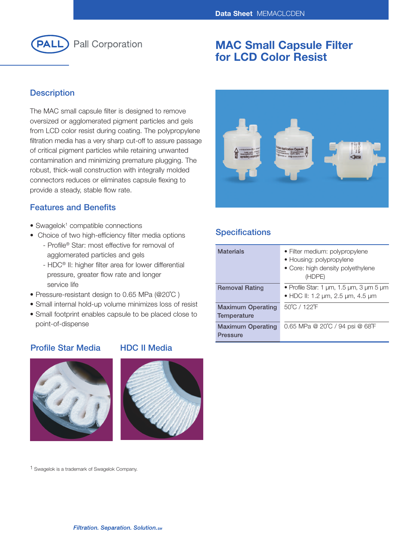

# **MAC Small Capsule Filter for LCD Color Resist**

## **Description**

The MAC small capsule filter is designed to remove oversized or agglomerated pigment particles and gels from LCD color resist during coating. The polypropylene filtration media has a very sharp cut-off to assure passage of critical pigment particles while retaining unwanted contamination and minimizing premature plugging. The robust, thick-wall construction with integrally molded connectors reduces or eliminates capsule flexing to provide a steady, stable flow rate.

## **Features and Benefits**

- Swagelok<sup>1</sup> compatible connections
- Choice of two high-efficiency filter media options
	- Profile® Star: most effective for removal of agglomerated particles and gels
	- HDC® II: higher filter area for lower differential pressure, greater flow rate and longer service life
- Pressure-resistant design to 0.65 MPa (@20˚C )
- Small internal hold-up volume minimizes loss of resist
- Small footprint enables capsule to be placed close to point-of-dispense

## **Profile Star Media HDC II Media**





1 Swagelok is a trademark of Swagelok Company.



## **Specifications**

| <b>Materials</b>                        | • Filter medium: polypropylene<br>• Housing: polypropylene<br>• Core: high density polyethylene<br>(HDPE) |
|-----------------------------------------|-----------------------------------------------------------------------------------------------------------|
| <b>Removal Rating</b>                   | • Profile Star: 1 $\mu$ m, 1.5 $\mu$ m, 3 $\mu$ m 5 $\mu$ m<br>• HDC II: 1.2 µm, 2.5 µm, 4.5 µm           |
| <b>Maximum Operating</b><br>Temperature | 50°C / 122°F                                                                                              |
| <b>Maximum Operating</b><br>Pressure    | 0.65 MPa @ 20°C / 94 psi @ 68°F                                                                           |